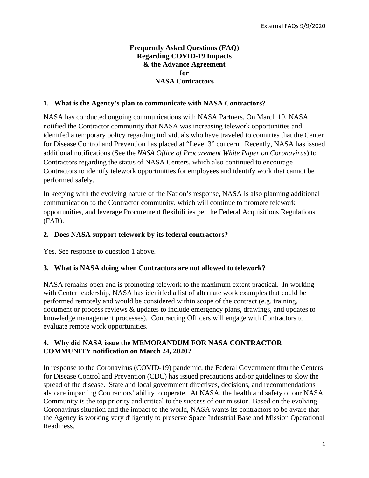#### **Frequently Asked Questions (FAQ) Regarding COVID-19 Impacts & the Advance Agreement for NASA Contractors**

#### **1. What is the Agency's plan to communicate with NASA Contractors?**

NASA has conducted ongoing communications with NASA Partners. On March 10, NASA notified the Contractor community that NASA was increasing telework opportunities and idenitfed a temporary policy regarding individuals who have traveled to countries that the Center for Disease Control and Prevention has placed at "Level 3" concern. Recently, NASA has issued additional notifications (See the *NASA Office of Procurement White Paper on Coronavirus***)** to Contractors regarding the status of NASA Centers, which also continued to encourage Contractors to identify telework opportunities for employees and identify work that cannot be performed safely.

In keeping with the evolving nature of the Nation's response, NASA is also planning additional communication to the Contractor community, which will continue to promote telework opportunities, and leverage Procurement flexibilities per the Federal Acquisitions Regulations (FAR).

#### **2. Does NASA support telework by its federal contractors?**

Yes. See response to question 1 above.

#### **3. What is NASA doing when Contractors are not allowed to telework?**

NASA remains open and is promoting telework to the maximum extent practical. In working with Center leadership, NASA has idenitfed a list of alternate work examples that could be performed remotely and would be considered within scope of the contract (e.g. training, document or process reviews & updates to include emergency plans, drawings, and updates to knowledge management processes). Contracting Officers will engage with Contractors to evaluate remote work opportunities.

#### **4. Why did NASA issue the MEMORANDUM FOR NASA CONTRACTOR COMMUNITY notification on March 24, 2020?**

In response to the Coronavirus (COVID-19) pandemic, the Federal Government thru the Centers for Disease Control and Prevention (CDC) has issued precautions and/or guidelines to slow the spread of the disease. State and local government directives, decisions, and recommendations also are impacting Contractors' ability to operate. At NASA, the health and safety of our NASA Community is the top priority and critical to the success of our mission. Based on the evolving Coronavirus situation and the impact to the world, NASA wants its contractors to be aware that the Agency is working very diligently to preserve Space Industrial Base and Mission Operational Readiness.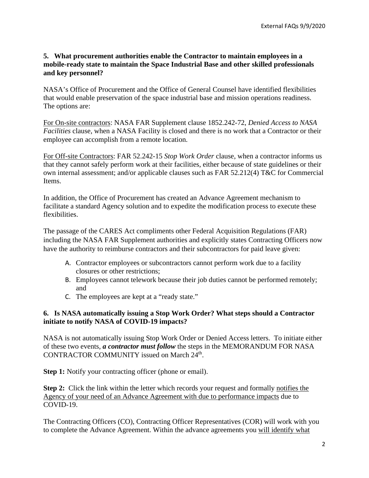### **5. What procurement authorities enable the Contractor to maintain employees in a mobile-ready state to maintain the Space Industrial Base and other skilled professionals and key personnel?**

NASA's Office of Procurement and the Office of General Counsel have identified flexibilities that would enable preservation of the space industrial base and mission operations readiness. The options are:

For On-site contractors: NASA FAR Supplement clause 1852.242-72, *Denied Access to NASA Facilities* clause, when a NASA Facility is closed and there is no work that a Contractor or their employee can accomplish from a remote location.

For Off-site Contractors: FAR 52.242-15 *Stop Work Order* clause, when a contractor informs us that they cannot safely perform work at their facilities, either because of state guidelines or their own internal assessment; and/or applicable clauses such as FAR 52.212(4) T&C for Commercial Items.

In addition, the Office of Procurement has created an Advance Agreement mechanism to facilitate a standard Agency solution and to expedite the modification process to execute these flexibilities.

The passage of the CARES Act compliments other Federal Acquisition Regulations (FAR) including the NASA FAR Supplement authorities and explicitly states Contracting Officers now have the authority to reimburse contractors and their subcontractors for paid leave given:

- A. Contractor employees or subcontractors cannot perform work due to a facility closures or other restrictions;
- B. Employees cannot telework because their job duties cannot be performed remotely; and
- C. The employees are kept at a "ready state."

### **6. Is NASA automatically issuing a Stop Work Order? What steps should a Contractor initiate to notify NASA of COVID-19 impacts?**

NASA is not automatically issuing Stop Work Order or Denied Access letters. To initiate either of these two events, *a contractor must follow* the steps in the MEMORANDUM FOR NASA CONTRACTOR COMMUNITY issued on March 24<sup>th</sup>.

**Step 1:** Notify your contracting officer (phone or email).

**Step 2:** Click the link within the letter which records your request and formally notifies the Agency of your need of an Advance Agreement with due to performance impacts due to COVID-19.

The Contracting Officers (CO), Contracting Officer Representatives (COR) will work with you to complete the Advance Agreement. Within the advance agreements you will identify what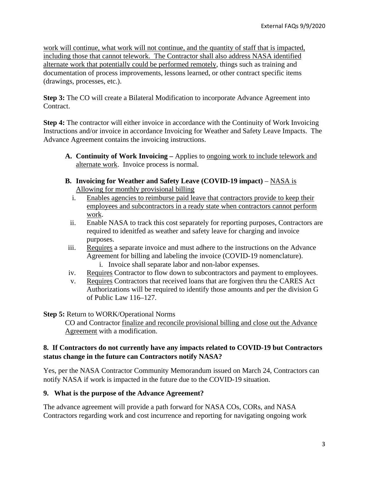work will continue, what work will not continue, and the quantity of staff that is impacted, including those that cannot telework. The Contractor shall also address NASA identified alternate work that potentially could be performed remotely, things such as training and documentation of process improvements, lessons learned, or other contract specific items (drawings, processes, etc.).

**Step 3:** The CO will create a Bilateral Modification to incorporate Advance Agreement into Contract.

**Step 4:** The contractor will either invoice in accordance with the Continuity of Work Invoicing Instructions and/or invoice in accordance Invoicing for Weather and Safety Leave Impacts. The Advance Agreement contains the invoicing instructions.

- **A. Continuity of Work Invoicing –** Applies to ongoing work to include telework and alternate work. Invoice process is normal.
- **B.** Invoicing for Weather and Safety Leave (COVID-19 impact) NASA is Allowing for monthly provisional billing
	- i. Enables agencies to reimburse paid leave that contractors provide to keep their employees and subcontractors in a ready state when contractors cannot perform work.
	- ii. Enable NASA to track this cost separately for reporting purposes, Contractors are required to idenitfed as weather and safety leave for charging and invoice purposes.
- iii. Requires a separate invoice and must adhere to the instructions on the Advance Agreement for billing and labeling the invoice (COVID-19 nomenclature).
	- i. Invoice shall separate labor and non-labor expenses.
- iv. Requires Contractor to flow down to subcontractors and payment to employees.
- v. Requires Contractors that received loans that are forgiven thru the CARES Act Authorizations will be required to identify those amounts and per the division G of Public Law 116–127.

**Step 5:** Return to WORK/Operational Norms

CO and Contractor finalize and reconcile provisional billing and close out the Advance Agreement with a modification.

## **8. If Contractors do not currently have any impacts related to COVID-19 but Contractors status change in the future can Contractors notify NASA?**

Yes, per the NASA Contractor Community Memorandum issued on March 24, Contractors can notify NASA if work is impacted in the future due to the COVID-19 situation.

# **9. What is the purpose of the Advance Agreement?**

The advance agreement will provide a path forward for NASA COs, CORs, and NASA Contractors regarding work and cost incurrence and reporting for navigating ongoing work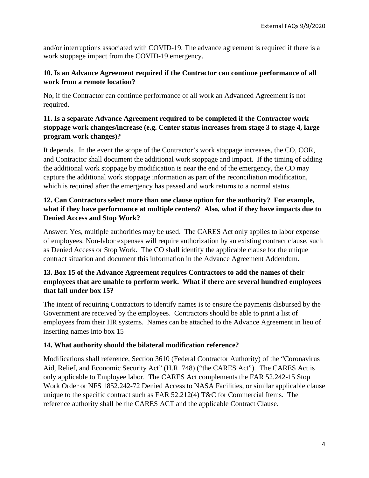and/or interruptions associated with COVID-19. The advance agreement is required if there is a work stoppage impact from the COVID-19 emergency.

### **10. Is an Advance Agreement required if the Contractor can continue performance of all work from a remote location?**

No, if the Contractor can continue performance of all work an Advanced Agreement is not required.

# **11. Is a separate Advance Agreement required to be completed if the Contractor work stoppage work changes/increase (e.g. Center status increases from stage 3 to stage 4, large program work changes)?**

It depends. In the event the scope of the Contractor's work stoppage increases, the CO, COR, and Contractor shall document the additional work stoppage and impact. If the timing of adding the additional work stoppage by modification is near the end of the emergency, the CO may capture the additional work stoppage information as part of the reconciliation modification, which is required after the emergency has passed and work returns to a normal status.

# **12. Can Contractors select more than one clause option for the authority? For example, what if they have performance at multiple centers? Also, what if they have impacts due to Denied Access and Stop Work?**

Answer: Yes, multiple authorities may be used. The CARES Act only applies to labor expense of employees. Non-labor expenses will require authorization by an existing contract clause, such as Denied Access or Stop Work. The CO shall identify the applicable clause for the unique contract situation and document this information in the Advance Agreement Addendum.

# **13. Box 15 of the Advance Agreement requires Contractors to add the names of their employees that are unable to perform work. What if there are several hundred employees that fall under box 15?**

The intent of requiring Contractors to identify names is to ensure the payments disbursed by the Government are received by the employees. Contractors should be able to print a list of employees from their HR systems. Names can be attached to the Advance Agreement in lieu of inserting names into box 15

# **14. What authority should the bilateral modification reference?**

Modifications shall reference, Section 3610 (Federal Contractor Authority) of the "Coronavirus Aid, Relief, and Economic Security Act" (H.R. 748) ("the CARES Act"). The CARES Act is only applicable to Employee labor. The CARES Act complements the FAR 52.242-15 Stop Work Order or NFS 1852.242-72 Denied Access to NASA Facilities, or similar applicable clause unique to the specific contract such as FAR 52.212(4) T&C for Commercial Items. The reference authority shall be the CARES ACT and the applicable Contract Clause.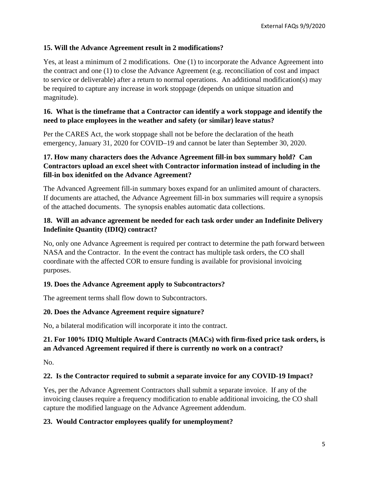### **15. Will the Advance Agreement result in 2 modifications?**

Yes, at least a minimum of 2 modifications. One (1) to incorporate the Advance Agreement into the contract and one (1) to close the Advance Agreement (e.g. reconciliation of cost and impact to service or deliverable) after a return to normal operations. An additional modification(s) may be required to capture any increase in work stoppage (depends on unique situation and magnitude).

## **16. What is the timeframe that a Contractor can identify a work stoppage and identify the need to place employees in the weather and safety (or similar) leave status?**

Per the CARES Act, the work stoppage shall not be before the declaration of the heath emergency, January 31, 2020 for COVID–19 and cannot be later than September 30, 2020.

# **17. How many characters does the Advance Agreement fill-in box summary hold? Can Contractors upload an excel sheet with Contractor information instead of including in the fill-in box idenitfed on the Advance Agreement?**

The Advanced Agreement fill-in summary boxes expand for an unlimited amount of characters. If documents are attached, the Advance Agreement fill-in box summaries will require a synopsis of the attached documents. The synopsis enables automatic data collections.

## **18. Will an advance agreement be needed for each task order under an Indefinite Delivery Indefinite Quantity (IDIQ) contract?**

No, only one Advance Agreement is required per contract to determine the path forward between NASA and the Contractor. In the event the contract has multiple task orders, the CO shall coordinate with the affected COR to ensure funding is available for provisional invoicing purposes.

# **19. Does the Advance Agreement apply to Subcontractors?**

The agreement terms shall flow down to Subcontractors.

# **20. Does the Advance Agreement require signature?**

No, a bilateral modification will incorporate it into the contract.

# **21. For 100% IDIQ Multiple Award Contracts (MACs) with firm-fixed price task orders, is an Advanced Agreement required if there is currently no work on a contract?**

No.

# **22. Is the Contractor required to submit a separate invoice for any COVID-19 Impact?**

Yes, per the Advance Agreement Contractors shall submit a separate invoice. If any of the invoicing clauses require a frequency modification to enable additional invoicing, the CO shall capture the modified language on the Advance Agreement addendum.

# **23. Would Contractor employees qualify for unemployment?**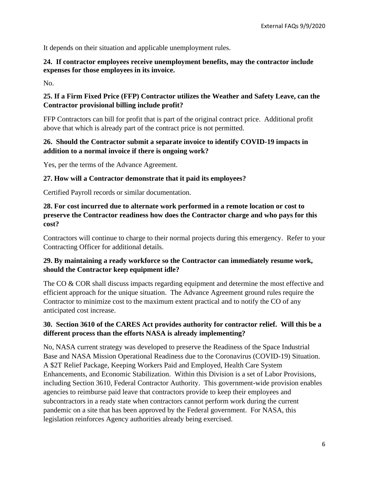It depends on their situation and applicable unemployment rules.

### **24. If contractor employees receive unemployment benefits, may the contractor include expenses for those employees in its invoice.**

No.

# **25. If a Firm Fixed Price (FFP) Contractor utilizes the Weather and Safety Leave, can the Contractor provisional billing include profit?**

FFP Contractors can bill for profit that is part of the original contract price. Additional profit above that which is already part of the contract price is not permitted.

## **26. Should the Contractor submit a separate invoice to identify COVID-19 impacts in addition to a normal invoice if there is ongoing work?**

Yes, per the terms of the Advance Agreement.

#### **27. How will a Contractor demonstrate that it paid its employees?**

Certified Payroll records or similar documentation.

**28. For cost incurred due to alternate work performed in a remote location or cost to preserve the Contractor readiness how does the Contractor charge and who pays for this cost?**

Contractors will continue to charge to their normal projects during this emergency. Refer to your Contracting Officer for additional details.

### **29. By maintaining a ready workforce so the Contractor can immediately resume work, should the Contractor keep equipment idle?**

The CO & COR shall discuss impacts regarding equipment and determine the most effective and efficient approach for the unique situation. The Advance Agreement ground rules require the Contractor to minimize cost to the maximum extent practical and to notify the CO of any anticipated cost increase.

## **30. Section 3610 of the CARES Act provides authority for contractor relief. Will this be a different process than the efforts NASA is already implementing?**

No, NASA current strategy was developed to preserve the Readiness of the Space Industrial Base and NASA Mission Operational Readiness due to the Coronavirus (COVID-19) Situation. A \$2T Relief Package, Keeping Workers Paid and Employed, Health Care System Enhancements, and Economic Stabilization. Within this Division is a set of Labor Provisions, including Section 3610, Federal Contractor Authority. This government-wide provision enables agencies to reimburse paid leave that contractors provide to keep their employees and subcontractors in a ready state when contractors cannot perform work during the current pandemic on a site that has been approved by the Federal government. For NASA, this legislation reinforces Agency authorities already being exercised.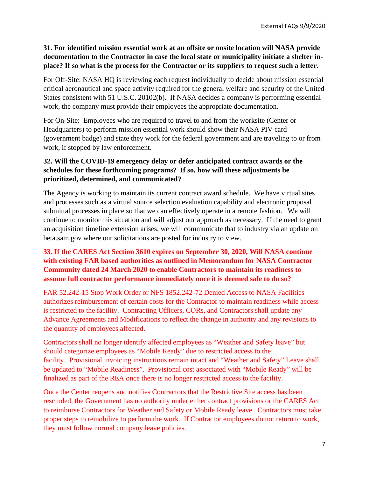## **31. For identified mission essential work at an offsite or onsite location will NASA provide documentation to the Contractor in case the local state or municipality initiate a shelter inplace? If so what is the process for the Contractor or its suppliers to request such a letter.**

For Off-Site: NASA HQ is reviewing each request individually to decide about mission essential critical aeronautical and space activity required for the general welfare and security of the United States consistent with 51 U.S.C. 20102(b). If NASA decides a company is performing essential work, the company must provide their employees the appropriate documentation.

For On-Site: Employees who are required to travel to and from the worksite (Center or Headquarters) to perform mission essential work should show their NASA PIV card (government badge) and state they work for the federal government and are traveling to or from work, if stopped by law enforcement.

# **32. Will the COVID-19 emergency delay or defer anticipated contract awards or the schedules for these forthcoming programs? If so, how will these adjustments be prioritized, determined, and communicated?**

The Agency is working to maintain its current contract award schedule. We have virtual sites and processes such as a virtual source selection evaluation capability and electronic proposal submittal processes in place so that we can effectively operate in a remote fashion. We will continue to monitor this situation and will adjust our approach as necessary. If the need to grant an acquisition timeline extension arises, we will communicate that to industry via an update on beta.sam.gov where our solicitations are posted for industry to view.

## **33. If the CARES Act Section 3610 expires on September 30, 2020, Will NASA continue with existing FAR based authorities as outlined in Memorandum for NASA Contractor Community dated 24 March 2020 to enable Contractors to maintain its readiness to assume full contractor performance immediately once it is deemed safe to do so?**

FAR 52.242-15 Stop Work Order or NFS 1852.242-72 Denied Access to NASA Facilities authorizes reimbursement of certain costs for the Contractor to maintain readiness while access is restricted to the facility. Contracting Officers, CORs, and Contractors shall update any Advance Agreements and Modifications to reflect the change in authority and any revisions to the quantity of employees affected.

Contractors shall no longer identify affected employees as "Weather and Safety leave" but should categorize employees as "Mobile Ready" due to restricted access to the facility. Provisional invoicing instructions remain intact and "Weather and Safety" Leave shall be updated to "Mobile Readiness". Provisional cost associated with "Mobile Ready" will be finalized as part of the REA once there is no longer restricted access to the facility.

Once the Center reopens and notifies Contractors that the Restrictive Site access has been rescinded, the Government has no authority under either contract provisions or the CARES Act to reimburse Contractors for Weather and Safety or Mobile Ready leave. Contractors must take proper steps to remobilize to perform the work. If Contractor employees do not return to work, they must follow normal company leave policies.